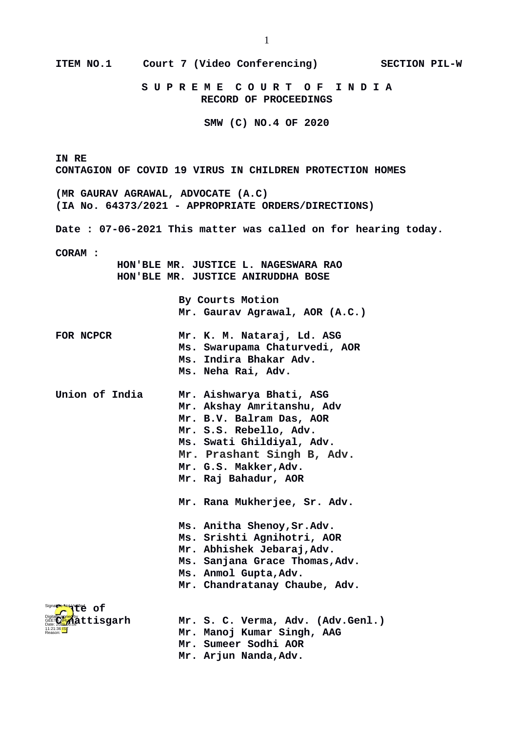| <b>ITEM NO.1</b>                                                                          | Court 7 (Video Conferencing)                                | <b>SECTION PIL-W</b> |  |  |  |  |
|-------------------------------------------------------------------------------------------|-------------------------------------------------------------|----------------------|--|--|--|--|
|                                                                                           | SUPREME COURT OF INDIA<br><b>RECORD OF PROCEEDINGS</b>      |                      |  |  |  |  |
|                                                                                           | SMW (C) NO.4 OF 2020                                        |                      |  |  |  |  |
| IN RE<br><b>CONTAGION OF COVID 19 VIRUS IN CHILDREN PROTECTION HOMES</b>                  |                                                             |                      |  |  |  |  |
| (MR GAURAV AGRAWAL, ADVOCATE (A.C)<br>(IA No. 64373/2021 - APPROPRIATE ORDERS/DIRECTIONS) |                                                             |                      |  |  |  |  |
| Date: 07-06-2021 This matter was called on for hearing today.                             |                                                             |                      |  |  |  |  |
| <b>CORAM:</b>                                                                             |                                                             |                      |  |  |  |  |
| HON'BLE MR. JUSTICE L. NAGESWARA RAO<br>HON'BLE MR. JUSTICE ANIRUDDHA BOSE                |                                                             |                      |  |  |  |  |
|                                                                                           | <b>By Courts Motion</b><br>Mr. Gaurav Agrawal, AOR (A.C.)   |                      |  |  |  |  |
| <b>FOR NCPCR</b>                                                                          | Mr. K. M. Nataraj, Ld. ASG<br>Ms. Swarupama Chaturvedi, AOR |                      |  |  |  |  |
|                                                                                           | Ms. Indira Bhakar Adv.                                      |                      |  |  |  |  |
|                                                                                           | Ms. Neha Rai, Adv.                                          |                      |  |  |  |  |
| Union of India                                                                            | Mr. Aishwarya Bhati, ASG                                    |                      |  |  |  |  |
|                                                                                           | Mr. Akshay Amritanshu, Adv                                  |                      |  |  |  |  |
|                                                                                           | Mr. B.V. Balram Das, AOR<br>Mr. S.S. Rebello, Adv.          |                      |  |  |  |  |
|                                                                                           | Ms. Swati Ghildiyal, Adv.                                   |                      |  |  |  |  |
|                                                                                           | Mr. Prashant Singh B, Adv.                                  |                      |  |  |  |  |
|                                                                                           | Mr. G.S. Makker, Adv.                                       |                      |  |  |  |  |
|                                                                                           | Mr. Raj Bahadur, AOR                                        |                      |  |  |  |  |
|                                                                                           | Mr. Rana Mukherjee, Sr. Adv.                                |                      |  |  |  |  |
|                                                                                           | Ms. Anitha Shenoy, Sr.Adv.                                  |                      |  |  |  |  |
|                                                                                           | Ms. Srishti Agnihotri, AOR                                  |                      |  |  |  |  |
|                                                                                           | Mr. Abhishek Jebaraj, Adv.                                  |                      |  |  |  |  |
|                                                                                           | Ms. Sanjana Grace Thomas, Adv.                              |                      |  |  |  |  |
|                                                                                           | Ms. Anmol Gupta, Adv.<br>Mr. Chandratanay Chaube, Adv.      |                      |  |  |  |  |
|                                                                                           |                                                             |                      |  |  |  |  |
| Signappe Not Yet et of                                                                    |                                                             |                      |  |  |  |  |
| åttisgarh                                                                                 | Mr. S. C. Verma, Adv. (Adv.Genl.)                           |                      |  |  |  |  |
| Reason:                                                                                   | Mr. Manoj Kumar Singh, AAG<br>Mr. Sumeer Sodhi AOR          |                      |  |  |  |  |
|                                                                                           | Mr. Arjun Nanda, Adv.                                       |                      |  |  |  |  |
|                                                                                           |                                                             |                      |  |  |  |  |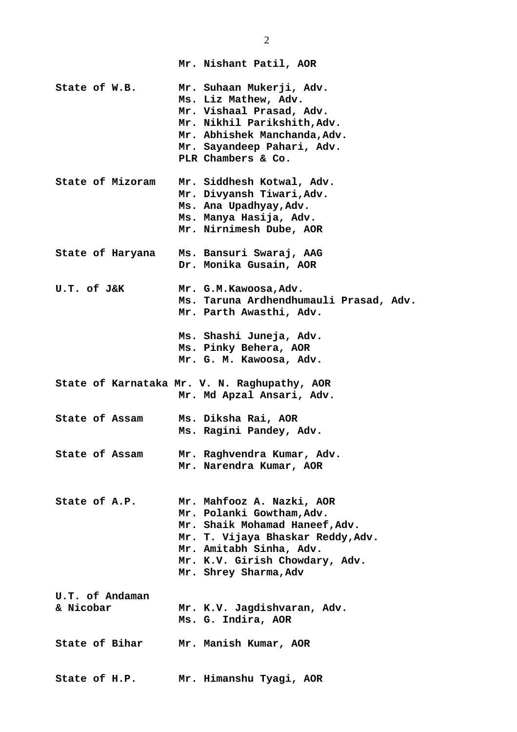|                              | Mr. Nishant Patil, AOR                                                                                                                                                                                              |
|------------------------------|---------------------------------------------------------------------------------------------------------------------------------------------------------------------------------------------------------------------|
| State of W.B.                | Mr. Suhaan Mukerji, Adv.<br>Ms. Liz Mathew, Adv.<br>Mr. Vishaal Prasad, Adv.<br>Mr. Nikhil Parikshith, Adv.<br>Mr. Abhishek Manchanda, Adv.<br>Mr. Sayandeep Pahari, Adv.<br>PLR Chambers & Co.                     |
| <b>State of Mizoram</b>      | Mr. Siddhesh Kotwal, Adv.<br>Mr. Divyansh Tiwari, Adv.<br>Ms. Ana Upadhyay, Adv.<br>Ms. Manya Hasija, Adv.<br>Mr. Nirnimesh Dube, AOR                                                                               |
| State of Haryana             | Ms. Bansuri Swaraj, AAG<br>Dr. Monika Gusain, AOR                                                                                                                                                                   |
| U.T. of J&K                  | Mr. G.M.Kawoosa,Adv.<br>Ms. Taruna Ardhendhumauli Prasad, Adv.<br>Mr. Parth Awasthi, Adv.                                                                                                                           |
|                              | Ms. Shashi Juneja, Adv.<br>Ms. Pinky Behera, AOR<br>Mr. G. M. Kawoosa, Adv.                                                                                                                                         |
|                              | State of Karnataka Mr. V. N. Raghupathy, AOR<br>Mr. Md Apzal Ansari, Adv.                                                                                                                                           |
| <b>State of Assam</b>        | Ms. Diksha Rai, AOR<br>Ms. Ragini Pandey, Adv.                                                                                                                                                                      |
| <b>State of Assam</b>        | Mr. Raghvendra Kumar, Adv.<br>Mr. Narendra Kumar, AOR                                                                                                                                                               |
| State of A.P.                | Mr. Mahfooz A. Nazki, AOR<br>Mr. Polanki Gowtham, Adv.<br>Mr. Shaik Mohamad Haneef, Adv.<br>Mr. T. Vijaya Bhaskar Reddy, Adv.<br>Mr. Amitabh Sinha, Adv.<br>Mr. K.V. Girish Chowdary, Adv.<br>Mr. Shrey Sharma, Adv |
| U.T. of Andaman<br>& Nicobar | Mr. K.V. Jagdishvaran, Adv.<br>Ms. G. Indira, AOR                                                                                                                                                                   |
| State of Bihar               |                                                                                                                                                                                                                     |
|                              | Mr. Manish Kumar, AOR                                                                                                                                                                                               |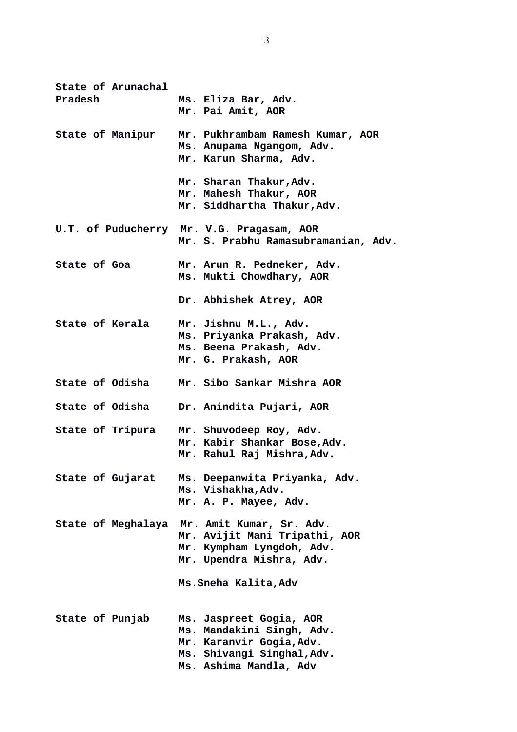| State of Arunachal<br>Pradesh | Ms. Eliza Bar, Adv.<br>Mr. Pai Amit, AOR                                                                                                 |
|-------------------------------|------------------------------------------------------------------------------------------------------------------------------------------|
| State of Manipur              | Mr. Pukhrambam Ramesh Kumar, AOR<br>Ms. Anupama Ngangom, Adv.<br>Mr. Karun Sharma, Adv.                                                  |
|                               | Mr. Sharan Thakur, Adv.<br>Mr. Mahesh Thakur, AOR<br>Mr. Siddhartha Thakur, Adv.                                                         |
|                               | U.T. of Puducherry Mr. V.G. Pragasam, AOR<br>Mr. S. Prabhu Ramasubramanian, Adv.                                                         |
| State of Goa                  | Mr. Arun R. Pedneker, Adv.<br>Ms. Mukti Chowdhary, AOR                                                                                   |
|                               | Dr. Abhishek Atrey, AOR                                                                                                                  |
| State of Kerala               | Mr. Jishnu M.L., Adv.<br>Ms. Priyanka Prakash, Adv.<br>Ms. Beena Prakash, Adv.<br>Mr. G. Prakash, AOR                                    |
| State of Odisha               | Mr. Sibo Sankar Mishra AOR                                                                                                               |
|                               | State of Odisha Dr. Anindita Pujari, AOR                                                                                                 |
|                               | State of Tripura Mr. Shuvodeep Roy, Adv.<br>Mr. Kabir Shankar Bose, Adv.<br>Mr. Rahul Raj Mishra, Adv.                                   |
| State of Gujarat              | Ms. Deepanwita Priyanka, Adv.<br>Ms. Vishakha, Adv.<br>Mr. A. P. Mayee, Adv.                                                             |
| State of Meghalaya            | Mr. Amit Kumar, Sr. Adv.<br>Mr. Avijit Mani Tripathi, AOR<br>Mr. Kympham Lyngdoh, Adv.<br>Mr. Upendra Mishra, Adv.                       |
|                               | Ms. Sneha Kalita, Adv                                                                                                                    |
| State of Punjab               | Ms. Jaspreet Gogia, AOR<br>Ms. Mandakini Singh, Adv.<br>Mr. Karanvir Gogia, Adv.<br>Ms. Shivangi Singhal, Adv.<br>Ms. Ashima Mandla, Adv |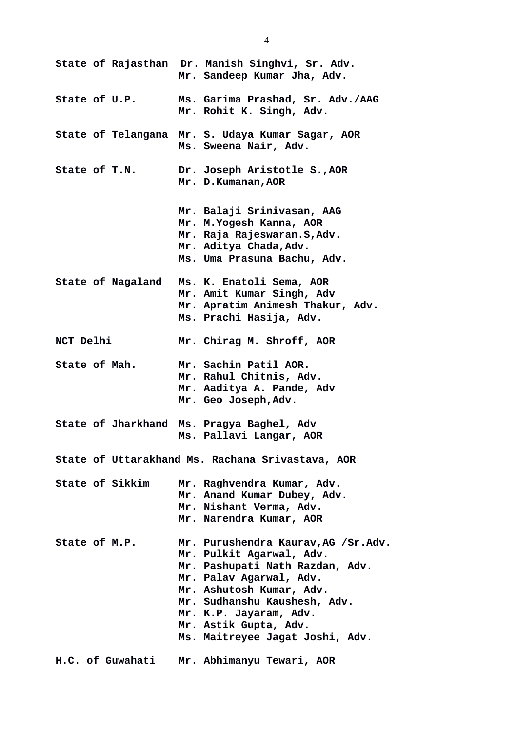|                                                  |                          |  | State of Rajasthan Dr. Manish Singhvi, Sr. Adv.<br>Mr. Sandeep Kumar Jha, Adv.                                                                                                                                                                                                  |
|--------------------------------------------------|--------------------------|--|---------------------------------------------------------------------------------------------------------------------------------------------------------------------------------------------------------------------------------------------------------------------------------|
| State of U.P.                                    |                          |  | Ms. Garima Prashad, Sr. Adv./AAG<br>Mr. Rohit K. Singh, Adv.                                                                                                                                                                                                                    |
|                                                  |                          |  | State of Telangana Mr. S. Udaya Kumar Sagar, AOR<br>Ms. Sweena Nair, Adv.                                                                                                                                                                                                       |
| State of T.N.                                    |                          |  | Dr. Joseph Aristotle S., AOR<br>Mr. D. Kumanan, AOR                                                                                                                                                                                                                             |
|                                                  |                          |  | Mr. Balaji Srinivasan, AAG<br>Mr. M. Yogesh Kanna, AOR<br>Mr. Raja Rajeswaran.S, Adv.<br>Mr. Aditya Chada, Adv.<br>Ms. Uma Prasuna Bachu, Adv.                                                                                                                                  |
|                                                  | <b>State of Nagaland</b> |  | Ms. K. Enatoli Sema, AOR<br>Mr. Amit Kumar Singh, Adv<br>Mr. Apratim Animesh Thakur, Adv.<br>Ms. Prachi Hasija, Adv.                                                                                                                                                            |
| NCT Delhi                                        |                          |  | Mr. Chirag M. Shroff, AOR                                                                                                                                                                                                                                                       |
| State of Mah.                                    |                          |  | Mr. Sachin Patil AOR.<br>Mr. Rahul Chitnis, Adv.<br>Mr. Aaditya A. Pande, Adv<br>Mr. Geo Joseph, Adv.                                                                                                                                                                           |
|                                                  | State of Jharkhand       |  | Ms. Pragya Baghel, Adv<br>Ms. Pallavi Langar, AOR                                                                                                                                                                                                                               |
| State of Uttarakhand Ms. Rachana Srivastava, AOR |                          |  |                                                                                                                                                                                                                                                                                 |
| <b>State of Sikkim</b>                           |                          |  | Mr. Raghvendra Kumar, Adv.<br>Mr. Anand Kumar Dubey, Adv.<br>Mr. Nishant Verma, Adv.<br>Mr. Narendra Kumar, AOR                                                                                                                                                                 |
| State of M.P.                                    |                          |  | Mr. Purushendra Kaurav, AG /Sr.Adv.<br>Mr. Pulkit Agarwal, Adv.<br>Mr. Pashupati Nath Razdan, Adv.<br>Mr. Palav Agarwal, Adv.<br>Mr. Ashutosh Kumar, Adv.<br>Mr. Sudhanshu Kaushesh, Adv.<br>Mr. K.P. Jayaram, Adv.<br>Mr. Astik Gupta, Adv.<br>Ms. Maitreyee Jagat Joshi, Adv. |
| H.C. of Guwahati                                 |                          |  | Mr. Abhimanyu Tewari, AOR                                                                                                                                                                                                                                                       |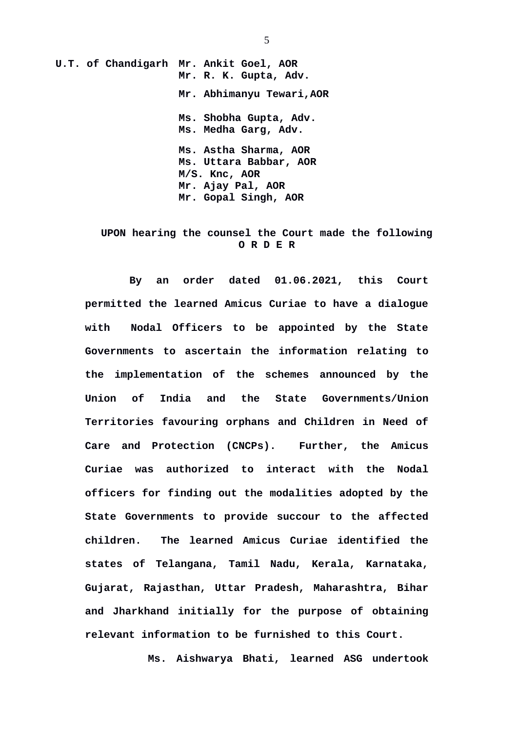**U.T. of Chandigarh Mr. Ankit Goel, AOR Mr. R. K. Gupta, Adv. Mr. Abhimanyu Tewari,AOR Ms. Shobha Gupta, Adv. Ms. Medha Garg, Adv. Ms. Astha Sharma, AOR Ms. Uttara Babbar, AOR M/S. Knc, AOR Mr. Ajay Pal, AOR Mr. Gopal Singh, AOR**

## **UPON hearing the counsel the Court made the following O R D E R**

**By an order dated 01.06.2021, this Court permitted the learned Amicus Curiae to have a dialogue with Nodal Officers to be appointed by the State Governments to ascertain the information relating to the implementation of the schemes announced by the Union of India and the State Governments/Union Territories favouring orphans and Children in Need of Care and Protection (CNCPs). Further, the Amicus Curiae was authorized to interact with the Nodal officers for finding out the modalities adopted by the State Governments to provide succour to the affected children. The learned Amicus Curiae identified the states of Telangana, Tamil Nadu, Kerala, Karnataka, Gujarat, Rajasthan, Uttar Pradesh, Maharashtra, Bihar and Jharkhand initially for the purpose of obtaining relevant information to be furnished to this Court.** 

**Ms. Aishwarya Bhati, learned ASG undertook**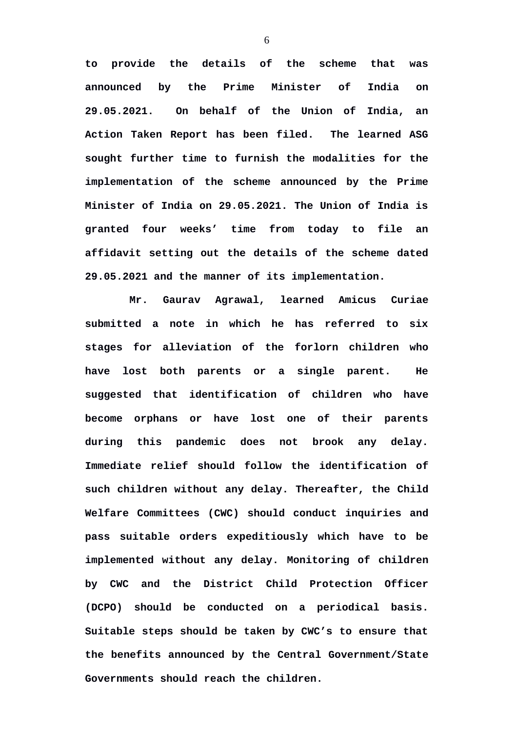**to provide the details of the scheme that was announced by the Prime Minister of India on 29.05.2021. On behalf of the Union of India, an Action Taken Report has been filed. The learned ASG sought further time to furnish the modalities for the implementation of the scheme announced by the Prime Minister of India on 29.05.2021. The Union of India is granted four weeks' time from today to file an affidavit setting out the details of the scheme dated 29.05.2021 and the manner of its implementation.**

**Mr. Gaurav Agrawal, learned Amicus Curiae submitted a note in which he has referred to six stages for alleviation of the forlorn children who have lost both parents or a single parent. He suggested that identification of children who have become orphans or have lost one of their parents during this pandemic does not brook any delay. Immediate relief should follow the identification of such children without any delay. Thereafter, the Child Welfare Committees (CWC) should conduct inquiries and pass suitable orders expeditiously which have to be implemented without any delay. Monitoring of children by CWC and the District Child Protection Officer (DCPO) should be conducted on a periodical basis. Suitable steps should be taken by CWC's to ensure that the benefits announced by the Central Government/State Governments should reach the children.**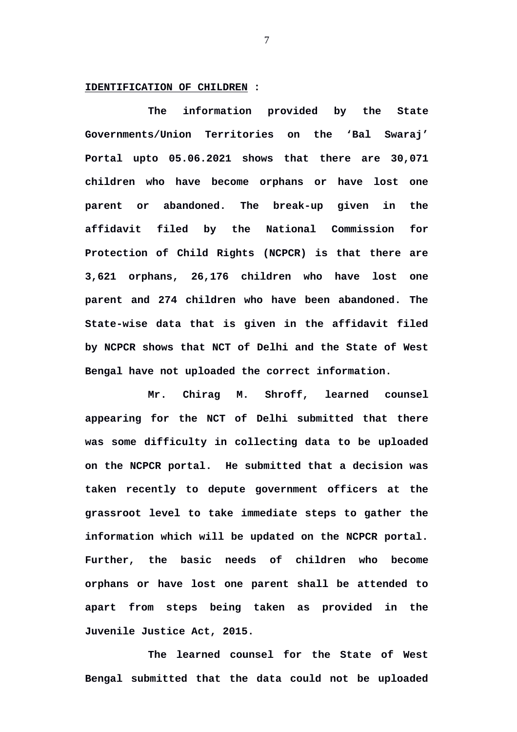## **IDENTIFICATION OF CHILDREN :**

**The information provided by the State Governments/Union Territories on the 'Bal Swaraj' Portal upto 05.06.2021 shows that there are 30,071 children who have become orphans or have lost one parent or abandoned. The break-up given in the affidavit filed by the National Commission for Protection of Child Rights (NCPCR) is that there are 3,621 orphans, 26,176 children who have lost one parent and 274 children who have been abandoned. The State-wise data that is given in the affidavit filed by NCPCR shows that NCT of Delhi and the State of West Bengal have not uploaded the correct information.** 

**Mr. Chirag M. Shroff, learned counsel appearing for the NCT of Delhi submitted that there was some difficulty in collecting data to be uploaded on the NCPCR portal. He submitted that a decision was taken recently to depute government officers at the grassroot level to take immediate steps to gather the information which will be updated on the NCPCR portal. Further, the basic needs of children who become orphans or have lost one parent shall be attended to apart from steps being taken as provided in the Juvenile Justice Act, 2015.**

 **The learned counsel for the State of West Bengal submitted that the data could not be uploaded**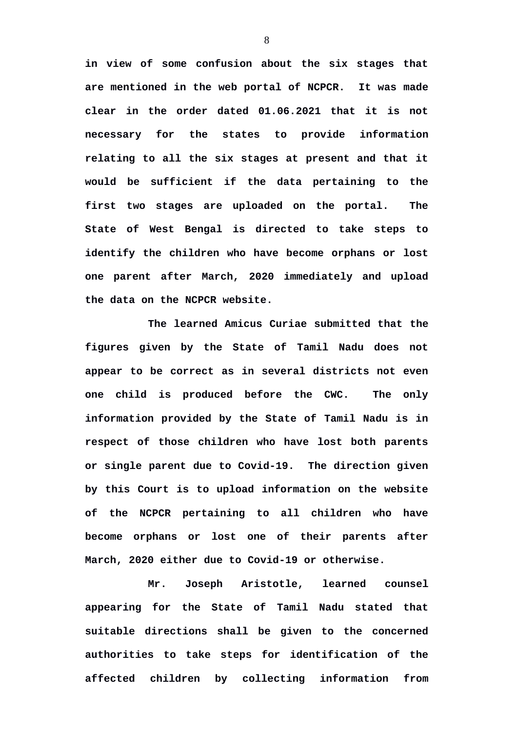**in view of some confusion about the six stages that are mentioned in the web portal of NCPCR. It was made clear in the order dated 01.06.2021 that it is not necessary for the states to provide information relating to all the six stages at present and that it would be sufficient if the data pertaining to the first two stages are uploaded on the portal. The State of West Bengal is directed to take steps to identify the children who have become orphans or lost one parent after March, 2020 immediately and upload the data on the NCPCR website.** 

**The learned Amicus Curiae submitted that the figures given by the State of Tamil Nadu does not appear to be correct as in several districts not even one child is produced before the CWC. The only information provided by the State of Tamil Nadu is in respect of those children who have lost both parents or single parent due to Covid-19. The direction given by this Court is to upload information on the website of the NCPCR pertaining to all children who have become orphans or lost one of their parents after March, 2020 either due to Covid-19 or otherwise.** 

**Mr. Joseph Aristotle, learned counsel appearing for the State of Tamil Nadu stated that suitable directions shall be given to the concerned authorities to take steps for identification of the affected children by collecting information from**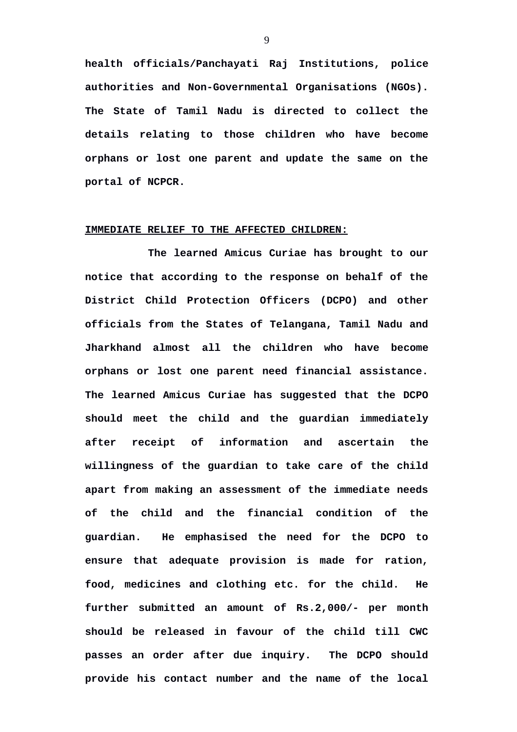**health officials/Panchayati Raj Institutions, police authorities and Non-Governmental Organisations (NGOs). The State of Tamil Nadu is directed to collect the details relating to those children who have become orphans or lost one parent and update the same on the portal of NCPCR.**

## **IMMEDIATE RELIEF TO THE AFFECTED CHILDREN:**

**The learned Amicus Curiae has brought to our notice that according to the response on behalf of the District Child Protection Officers (DCPO) and other officials from the States of Telangana, Tamil Nadu and Jharkhand almost all the children who have become orphans or lost one parent need financial assistance. The learned Amicus Curiae has suggested that the DCPO should meet the child and the guardian immediately after receipt of information and ascertain the willingness of the guardian to take care of the child apart from making an assessment of the immediate needs of the child and the financial condition of the guardian. He emphasised the need for the DCPO to ensure that adequate provision is made for ration, food, medicines and clothing etc. for the child. He further submitted an amount of Rs.2,000/- per month should be released in favour of the child till CWC passes an order after due inquiry. The DCPO should provide his contact number and the name of the local**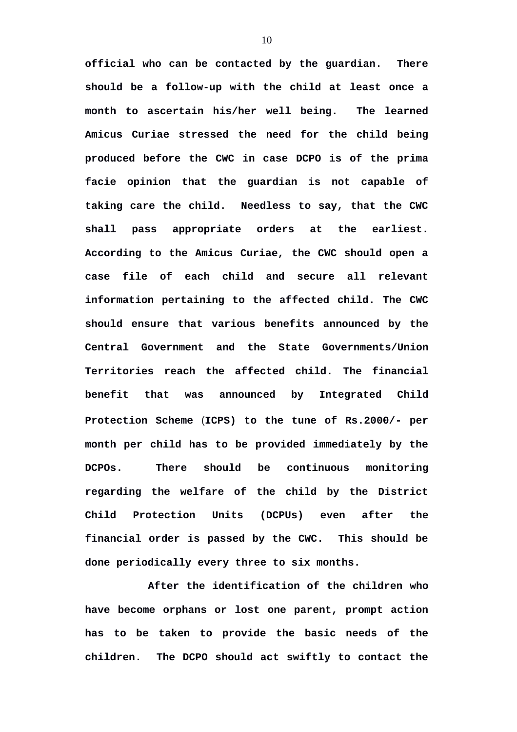**official who can be contacted by the guardian. There should be a follow-up with the child at least once a month to ascertain his/her well being. The learned Amicus Curiae stressed the need for the child being produced before the CWC in case DCPO is of the prima facie opinion that the guardian is not capable of taking care the child. Needless to say, that the CWC shall pass appropriate orders at the earliest. According to the Amicus Curiae, the CWC should open a case file of each child and secure all relevant information pertaining to the affected child. The CWC should ensure that various benefits announced by the Central Government and the State Governments/Union Territories reach the affected child. The financial benefit that was announced by Integrated Child Protection Scheme** (**ICPS) to the tune of Rs.2000/- per month per child has to be provided immediately by the DCPOs. There should be continuous monitoring regarding the welfare of the child by the District Child Protection Units (DCPUs) even after the financial order is passed by the CWC. This should be done periodically every three to six months.** 

**After the identification of the children who have become orphans or lost one parent, prompt action has to be taken to provide the basic needs of the children. The DCPO should act swiftly to contact the**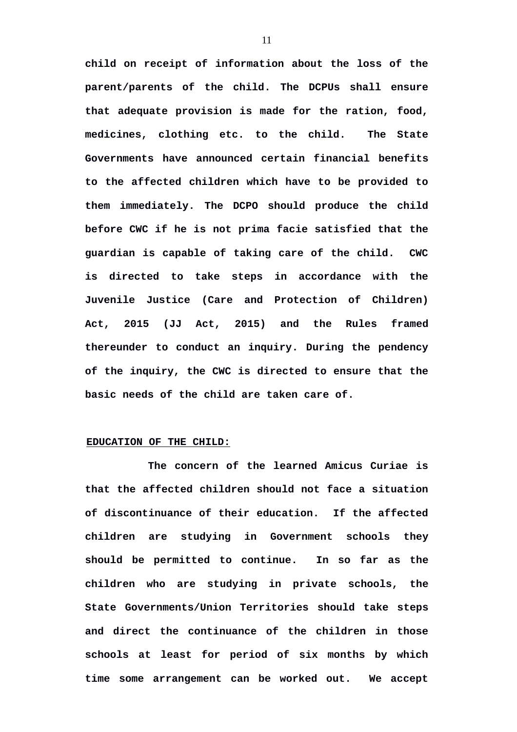**child on receipt of information about the loss of the parent/parents of the child. The DCPUs shall ensure that adequate provision is made for the ration, food, medicines, clothing etc. to the child. The State Governments have announced certain financial benefits to the affected children which have to be provided to them immediately. The DCPO should produce the child before CWC if he is not prima facie satisfied that the guardian is capable of taking care of the child. CWC is directed to take steps in accordance with the Juvenile Justice (Care and Protection of Children) Act, 2015 (JJ Act, 2015) and the Rules framed thereunder to conduct an inquiry. During the pendency of the inquiry, the CWC is directed to ensure that the basic needs of the child are taken care of.**

## **EDUCATION OF THE CHILD:**

**The concern of the learned Amicus Curiae is that the affected children should not face a situation of discontinuance of their education. If the affected children are studying in Government schools they should be permitted to continue. In so far as the children who are studying in private schools, the State Governments/Union Territories should take steps and direct the continuance of the children in those schools at least for period of six months by which time some arrangement can be worked out. We accept**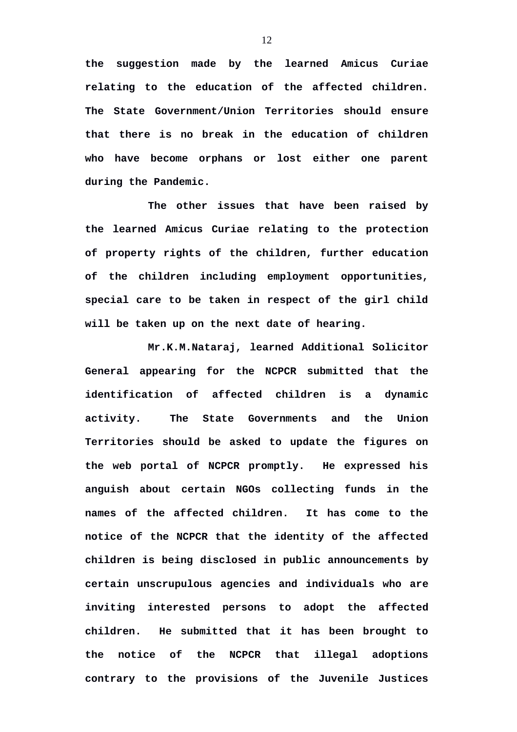**the suggestion made by the learned Amicus Curiae relating to the education of the affected children. The State Government/Union Territories should ensure that there is no break in the education of children who have become orphans or lost either one parent during the Pandemic.** 

**The other issues that have been raised by the learned Amicus Curiae relating to the protection of property rights of the children, further education of the children including employment opportunities, special care to be taken in respect of the girl child will be taken up on the next date of hearing.**

**Mr.K.M.Nataraj, learned Additional Solicitor General appearing for the NCPCR submitted that the identification of affected children is a dynamic activity. The State Governments and the Union Territories should be asked to update the figures on the web portal of NCPCR promptly. He expressed his anguish about certain NGOs collecting funds in the names of the affected children. It has come to the notice of the NCPCR that the identity of the affected children is being disclosed in public announcements by certain unscrupulous agencies and individuals who are inviting interested persons to adopt the affected children. He submitted that it has been brought to the notice of the NCPCR that illegal adoptions contrary to the provisions of the Juvenile Justices**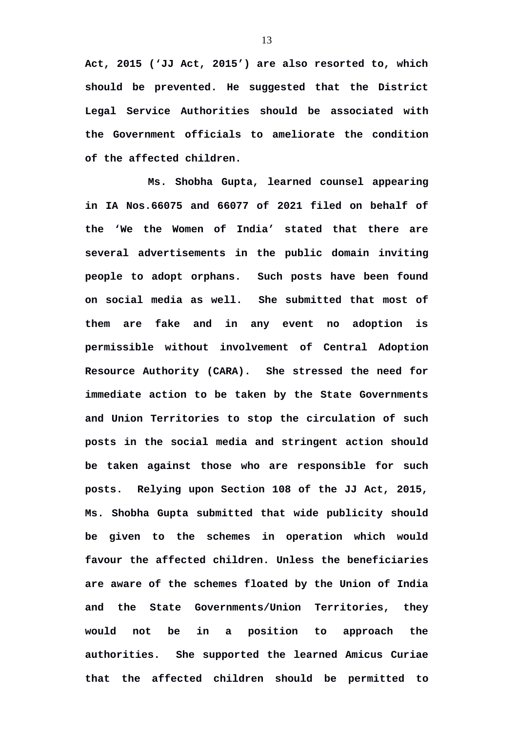**Act, 2015 ('JJ Act, 2015') are also resorted to, which should be prevented. He suggested that the District Legal Service Authorities should be associated with the Government officials to ameliorate the condition of the affected children.** 

**Ms. Shobha Gupta, learned counsel appearing in IA Nos.66075 and 66077 of 2021 filed on behalf of the 'We the Women of India' stated that there are several advertisements in the public domain inviting people to adopt orphans. Such posts have been found on social media as well. She submitted that most of them are fake and in any event no adoption is permissible without involvement of Central Adoption Resource Authority (CARA). She stressed the need for immediate action to be taken by the State Governments and Union Territories to stop the circulation of such posts in the social media and stringent action should be taken against those who are responsible for such posts. Relying upon Section 108 of the JJ Act, 2015, Ms. Shobha Gupta submitted that wide publicity should be given to the schemes in operation which would favour the affected children. Unless the beneficiaries are aware of the schemes floated by the Union of India and the State Governments/Union Territories, they would not be in a position to approach the authorities. She supported the learned Amicus Curiae that the affected children should be permitted to**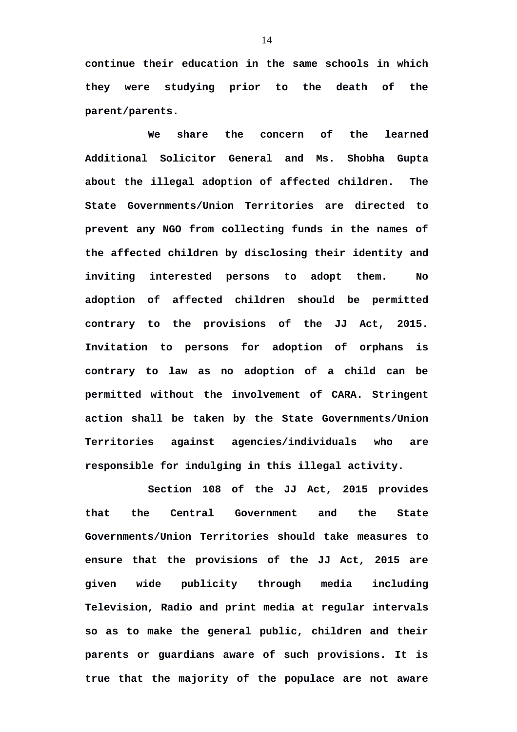**continue their education in the same schools in which they were studying prior to the death of the parent/parents.** 

**We share the concern of the learned Additional Solicitor General and Ms. Shobha Gupta about the illegal adoption of affected children. The State Governments/Union Territories are directed to prevent any NGO from collecting funds in the names of the affected children by disclosing their identity and inviting interested persons to adopt them. No adoption of affected children should be permitted contrary to the provisions of the JJ Act, 2015. Invitation to persons for adoption of orphans is contrary to law as no adoption of a child can be permitted without the involvement of CARA. Stringent action shall be taken by the State Governments/Union Territories against agencies/individuals who are responsible for indulging in this illegal activity.**

**Section 108 of the JJ Act, 2015 provides that the Central Government and the State Governments/Union Territories should take measures to ensure that the provisions of the JJ Act, 2015 are given wide publicity through media including Television, Radio and print media at regular intervals so as to make the general public, children and their parents or guardians aware of such provisions. It is true that the majority of the populace are not aware**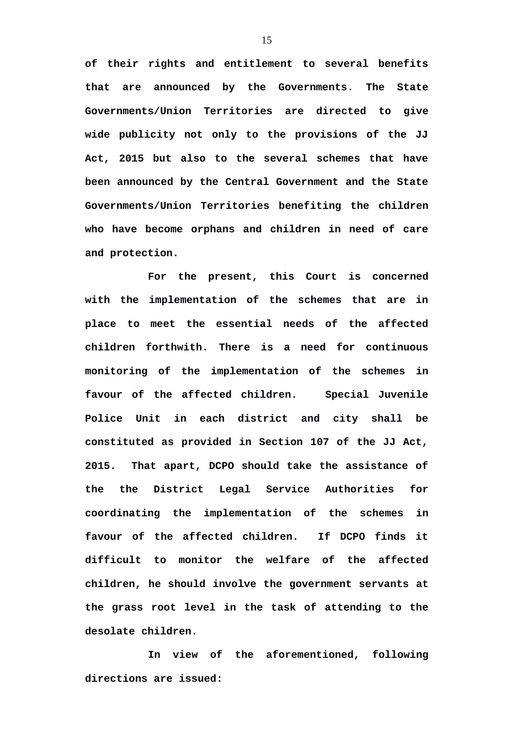**of their rights and entitlement to several benefits that are announced by the Governments. The State Governments/Union Territories are directed to give wide publicity not only to the provisions of the JJ Act, 2015 but also to the several schemes that have been announced by the Central Government and the State Governments/Union Territories benefiting the children who have become orphans and children in need of care and protection.** 

**For the present, this Court is concerned with the implementation of the schemes that are in place to meet the essential needs of the affected children forthwith. There is a need for continuous monitoring of the implementation of the schemes in favour of the affected children. Special Juvenile Police Unit in each district and city shall be constituted as provided in Section 107 of the JJ Act, 2015. That apart, DCPO should take the assistance of the the District Legal Service Authorities for coordinating the implementation of the schemes in favour of the affected children. If DCPO finds it difficult to monitor the welfare of the affected children, he should involve the government servants at the grass root level in the task of attending to the desolate children.** 

**In view of the aforementioned, following directions are issued:**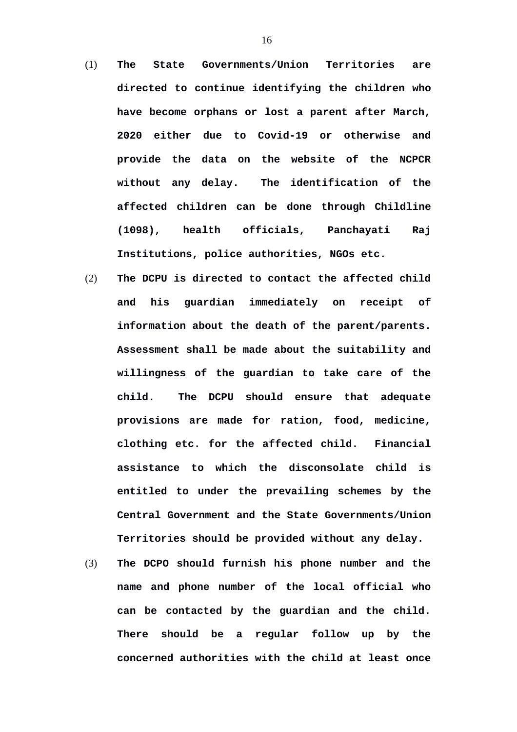- (1) **The State Governments/Union Territories are directed to continue identifying the children who have become orphans or lost a parent after March, 2020 either due to Covid-19 or otherwise and provide the data on the website of the NCPCR without any delay. The identification of the affected children can be done through Childline (1098), health officials, Panchayati Raj Institutions, police authorities, NGOs etc.**
- (2) **The DCPU is directed to contact the affected child and his guardian immediately on receipt of information about the death of the parent/parents. Assessment shall be made about the suitability and willingness of the guardian to take care of the child. The DCPU should ensure that adequate provisions are made for ration, food, medicine, clothing etc. for the affected child. Financial assistance to which the disconsolate child is entitled to under the prevailing schemes by the Central Government and the State Governments/Union Territories should be provided without any delay.**
- (3) **The DCPO should furnish his phone number and the name and phone number of the local official who can be contacted by the guardian and the child. There should be a regular follow up by the concerned authorities with the child at least once**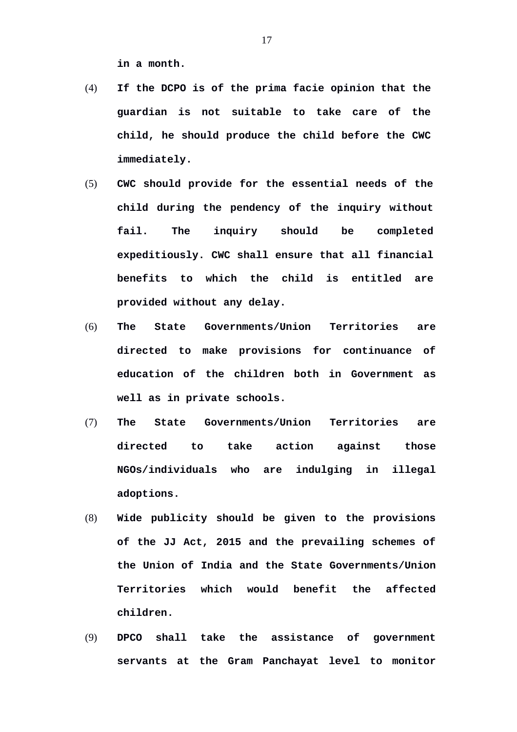**in a month.**

- (4) **If the DCPO is of the prima facie opinion that the guardian is not suitable to take care of the child, he should produce the child before the CWC immediately.**
- (5) **CWC should provide for the essential needs of the child during the pendency of the inquiry without fail. The inquiry should be completed expeditiously. CWC shall ensure that all financial benefits to which the child is entitled are provided without any delay.**
- (6) **The State Governments/Union Territories are directed to make provisions for continuance of education of the children both in Government as well as in private schools.**
- (7) **The State Governments/Union Territories are directed to take action against those NGOs/individuals who are indulging in illegal adoptions.**
- (8) **Wide publicity should be given to the provisions of the JJ Act, 2015 and the prevailing schemes of the Union of India and the State Governments/Union Territories which would benefit the affected children.**
- (9) **DPCO shall take the assistance of government servants at the Gram Panchayat level to monitor**